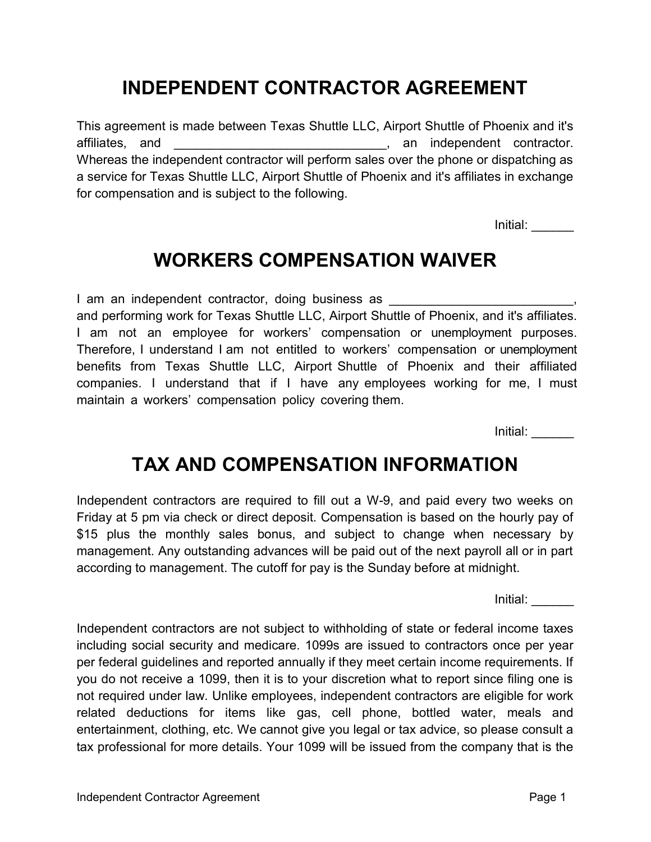## This agreement is made between Texas Shuttle LLC, Airport Shuttle of Phoenix and it's

affiliates, and **and**  $\overline{a}$ , an independent contractor. Whereas the independent contractor will perform sales over the phone or dispatching as a service for Texas Shuttle LLC, Airport Shuttle of Phoenix and it's affiliates in exchange for compensation and is subject to the following.

INDEPENDENT CONTRACTOR AGREEMENT

Initial: \_\_\_\_\_\_

### WORKERS COMPENSATION WAIVER

I am an independent contractor, doing business as and performing work for Texas Shuttle LLC, Airport Shuttle of Phoenix, and it's affiliates. I am not an employee for workers' compensation or unemployment purposes. Therefore, I understand I am not entitled to workers' compensation or unemployment benefits from Texas Shuttle LLC, Airport Shuttle of Phoenix and their affiliated companies. I understand that if I have any employees working for me, I must maintain a workers' compensation policy covering them.

Initial: \_\_\_\_\_\_

#### TAX AND COMPENSATION INFORMATION

Independent contractors are required to fill out a W-9, and paid every two weeks on Friday at 5 pm via check or direct deposit. Compensation is based on the hourly pay of \$15 plus the monthly sales bonus, and subject to change when necessary by management. Any outstanding advances will be paid out of the next payroll all or in part according to management. The cutoff for pay is the Sunday before at midnight.

 $Initial:$ 

Independent contractors are not subject to withholding of state or federal income taxes including social security and medicare. 1099s are issued to contractors once per year per federal guidelines and reported annually if they meet certain income requirements. If you do not receive a 1099, then it is to your discretion what to report since filing one is not required under law. Unlike employees, independent contractors are eligible for work related deductions for items like gas, cell phone, bottled water, meals and entertainment, clothing, etc. We cannot give you legal or tax advice, so please consult a tax professional for more details. Your 1099 will be issued from the company that is the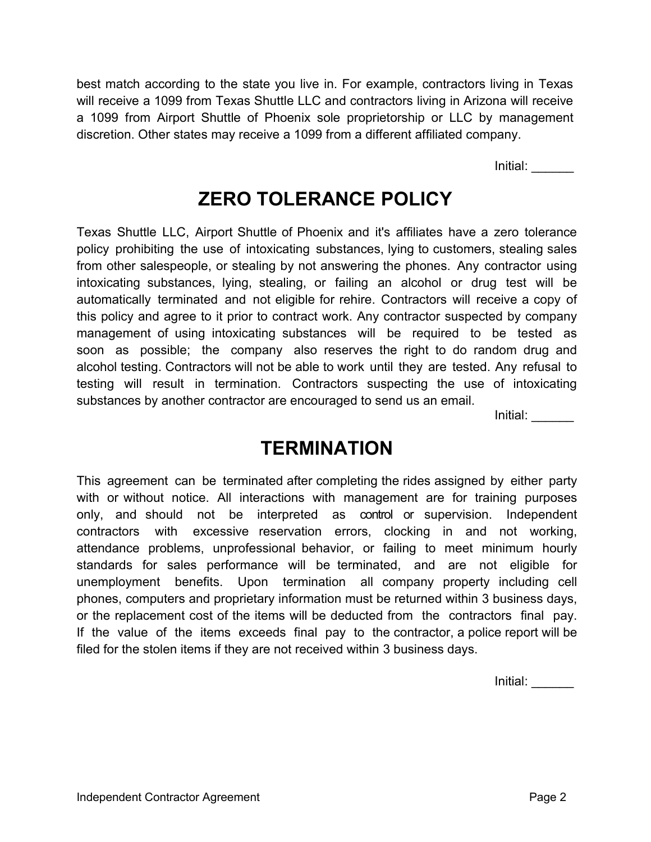best match according to the state you live in. For example, contractors living in Texas will receive a 1099 from Texas Shuttle LLC and contractors living in Arizona will receive a 1099 from Airport Shuttle of Phoenix sole proprietorship or LLC by management discretion. Other states may receive a 1099 from a different affiliated company.

Initial: \_\_\_\_\_\_

## ZERO TOLERANCE POLICY

Texas Shuttle LLC, Airport Shuttle of Phoenix and it's affiliates have a zero tolerance policy prohibiting the use of intoxicating substances, lying to customers, stealing sales from other salespeople, or stealing by not answering the phones. Any contractor using intoxicating substances, lying, stealing, or failing an alcohol or drug test will be automatically terminated and not eligible for rehire. Contractors will receive a copy of this policy and agree to it prior to contract work. Any contractor suspected by company management of using intoxicating substances will be required to be tested as soon as possible; the company also reserves the right to do random drug and alcohol testing. Contractors will not be able to work until they are tested. Any refusal to testing will result in termination. Contractors suspecting the use of intoxicating substances by another contractor are encouraged to send us an email.

Initial: \_\_\_\_\_\_

### **TERMINATION**

This agreement can be terminated after completing the rides assigned by either party with or without notice. All interactions with management are for training purposes only, and should not be interpreted as control or supervision. Independent contractors with excessive reservation errors, clocking in and not working, attendance problems, unprofessional behavior, or failing to meet minimum hourly standards for sales performance will be terminated, and are not eligible for unemployment benefits. Upon termination all company property including cell phones, computers and proprietary information must be returned within 3 business days, or the replacement cost of the items will be deducted from the contractors final pay. If the value of the items exceeds final pay to the contractor, a police report will be filed for the stolen items if they are not received within 3 business days.

Initial: \_\_\_\_\_\_